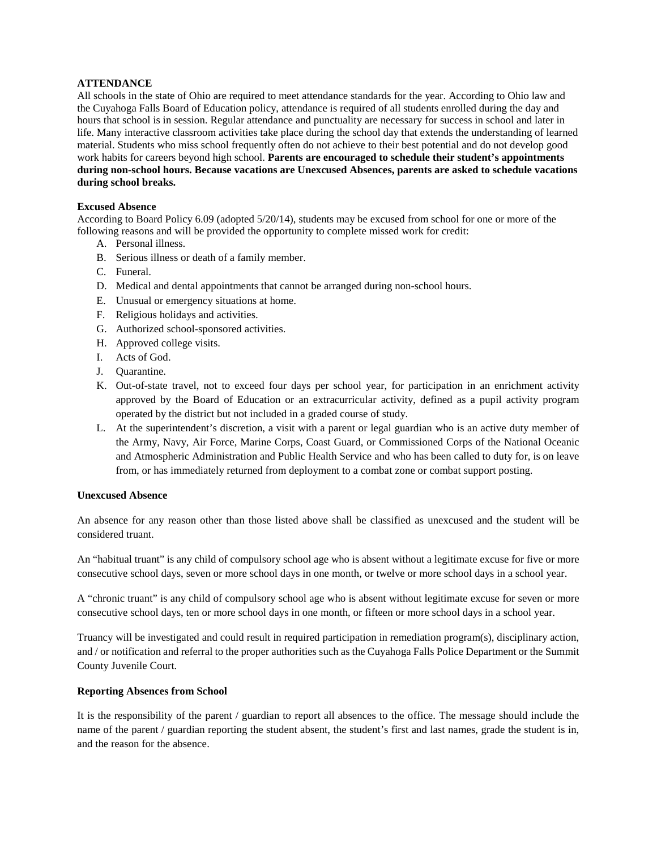# **ATTENDANCE**

All schools in the state of Ohio are required to meet attendance standards for the year. According to Ohio law and the Cuyahoga Falls Board of Education policy, attendance is required of all students enrolled during the day and hours that school is in session. Regular attendance and punctuality are necessary for success in school and later in life. Many interactive classroom activities take place during the school day that extends the understanding of learned material. Students who miss school frequently often do not achieve to their best potential and do not develop good work habits for careers beyond high school. **Parents are encouraged to schedule their student's appointments during non-school hours. Because vacations are Unexcused Absences, parents are asked to schedule vacations during school breaks.**

#### **Excused Absence**

According to Board Policy 6.09 (adopted 5/20/14), students may be excused from school for one or more of the following reasons and will be provided the opportunity to complete missed work for credit:

- A. Personal illness.
- B. Serious illness or death of a family member.
- C. Funeral.
- D. Medical and dental appointments that cannot be arranged during non-school hours.
- E. Unusual or emergency situations at home.
- F. Religious holidays and activities.
- G. Authorized school-sponsored activities.
- H. Approved college visits.
- I. Acts of God.
- J. Quarantine.
- K. Out-of-state travel, not to exceed four days per school year, for participation in an enrichment activity approved by the Board of Education or an extracurricular activity, defined as a pupil activity program operated by the district but not included in a graded course of study.
- L. At the superintendent's discretion, a visit with a parent or legal guardian who is an active duty member of the Army, Navy, Air Force, Marine Corps, Coast Guard, or Commissioned Corps of the National Oceanic and Atmospheric Administration and Public Health Service and who has been called to duty for, is on leave from, or has immediately returned from deployment to a combat zone or combat support posting.

### **Unexcused Absence**

An absence for any reason other than those listed above shall be classified as unexcused and the student will be considered truant.

An "habitual truant" is any child of compulsory school age who is absent without a legitimate excuse for five or more consecutive school days, seven or more school days in one month, or twelve or more school days in a school year.

A "chronic truant" is any child of compulsory school age who is absent without legitimate excuse for seven or more consecutive school days, ten or more school days in one month, or fifteen or more school days in a school year.

Truancy will be investigated and could result in required participation in remediation program(s), disciplinary action, and / or notification and referral to the proper authorities such as the Cuyahoga Falls Police Department or the Summit County Juvenile Court.

# **Reporting Absences from School**

It is the responsibility of the parent / guardian to report all absences to the office. The message should include the name of the parent / guardian reporting the student absent, the student's first and last names, grade the student is in, and the reason for the absence.